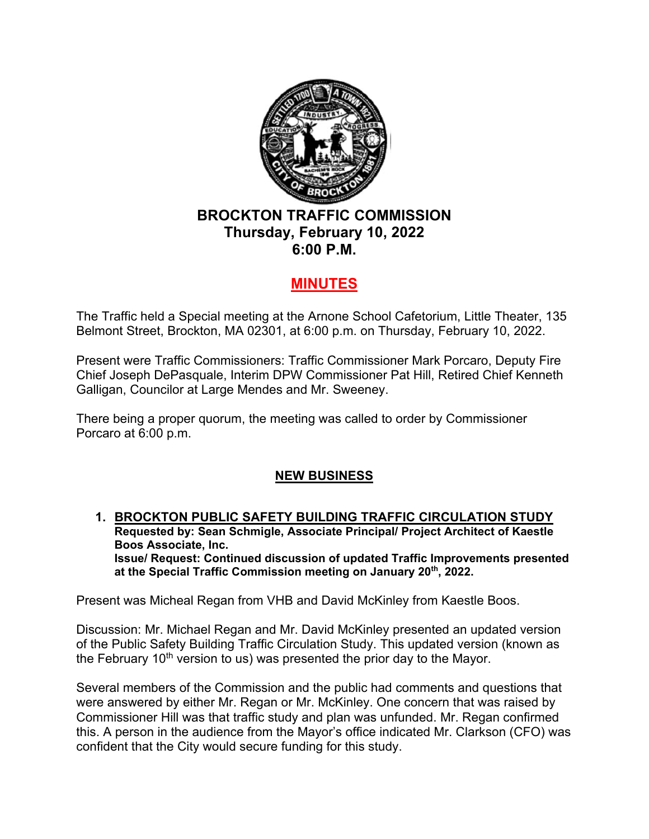

## **BROCKTON TRAFFIC COMMISSION Thursday, February 10, 2022 6:00 P.M.**

## **MINUTES**

The Traffic held a Special meeting at the Arnone School Cafetorium, Little Theater, 135 Belmont Street, Brockton, MA 02301, at 6:00 p.m. on Thursday, February 10, 2022.

Present were Traffic Commissioners: Traffic Commissioner Mark Porcaro, Deputy Fire Chief Joseph DePasquale, Interim DPW Commissioner Pat Hill, Retired Chief Kenneth Galligan, Councilor at Large Mendes and Mr. Sweeney.

There being a proper quorum, the meeting was called to order by Commissioner Porcaro at 6:00 p.m.

## **NEW BUSINESS**

**1. BROCKTON PUBLIC SAFETY BUILDING TRAFFIC CIRCULATION STUDY Requested by: Sean Schmigle, Associate Principal/ Project Architect of Kaestle Boos Associate, Inc. Issue/ Request: Continued discussion of updated Traffic Improvements presented at the Special Traffic Commission meeting on January 20th, 2022.** 

Present was Micheal Regan from VHB and David McKinley from Kaestle Boos.

Discussion: Mr. Michael Regan and Mr. David McKinley presented an updated version of the Public Safety Building Traffic Circulation Study. This updated version (known as the February  $10<sup>th</sup>$  version to us) was presented the prior day to the Mayor.

Several members of the Commission and the public had comments and questions that were answered by either Mr. Regan or Mr. McKinley. One concern that was raised by Commissioner Hill was that traffic study and plan was unfunded. Mr. Regan confirmed this. A person in the audience from the Mayor's office indicated Mr. Clarkson (CFO) was confident that the City would secure funding for this study.